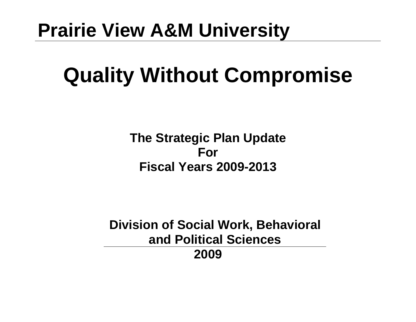## **Prairie View A&M University**

# **Quality Without Compromise**

**The Strategic Plan Update For Fiscal Years 2009-2013** 

**Division of Social Work, Behavioral and Political Sciences 2009**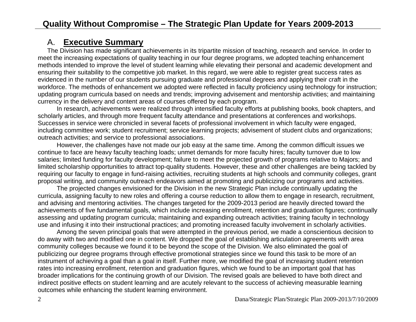#### A. **Executive Summary**

The Division has made significant achievements in its tripartite mission of teaching, research and service. In order to meet the increasing expectations of quality teaching in our four degree programs, we adopted teaching enhancement methods intended to improve the level of student learning while elevating their personal and academic development and ensuring their suitability to the competitive job market. In this regard, we were able to register great success rates as evidenced in the number of our students pursuing graduate and professional degrees and applying their craft in the workforce. The methods of enhancement we adopted were reflected in faculty proficiency using technology for instruction; updating program curricula based on needs and trends; improving advisement and mentorship activities; and maintaining currency in the delivery and content areas of courses offered by each program.

In research, achievements were realized through intensified faculty efforts at publishing books, book chapters, and scholarly articles, and through more frequent faculty attendance and presentations at conferences and workshops. Successes in service were chronicled in several facets of professional involvement in which faculty were engaged, including committee work; student recruitment; service learning projects; advisement of student clubs and organizations; outreach activities; and service to professional associations.

However, the challenges have not made our job easy at the same time. Among the common difficult issues we continue to face are heavy faculty teaching loads; unmet demands for more faculty hires; faculty turnover due to low salaries; limited funding for faculty development; failure to meet the projected growth of programs relative to Majors; and limited scholarship opportunities to attract top-quality students. However, these and other challenges are being tackled by requiring our faculty to engage in fund-raising activities, recruiting students at high schools and community colleges, grant proposal writing, and community outreach endeavors aimed at promoting and publicizing our programs and activities.

The projected changes envisioned for the Division in the new Strategic Plan include continually updating the curricula, assigning faculty to new roles and offering a course reduction to allow them to engage in research, recruitment, and advising and mentoring activities. The changes targeted for the 2009-2013 period are heavily directed toward the achievements of five fundamental goals, which include increasing enrollment, retention and graduation figures; continually assessing and updating program curricula; maintaining and expanding outreach activities; training faculty in technology use and infusing it into their instructional practices; and promoting increased faculty involvement in scholarly activities.

Among the seven principal goals that were attempted in the previous period, we made a conscientious decision to do away with two and modified one in content. We dropped the goal of establishing articulation agreements with area community colleges because we found it to be beyond the scope of the Division. We also eliminated the goal of publicizing our degree programs through effective promotional strategies since we found this task to be more of an instrument of achieving a goal than a goal in itself. Further more, we modified the goal of increasing student retention rates into increasing enrollment, retention and graduation figures, which we found to be an important goal that has broader implications for the continuing growth of our Division. The revised goals are believed to have both direct and indirect positive effects on student learning and are acutely relevant to the success of achieving measurable learning outcomes while enhancing the student learning environment.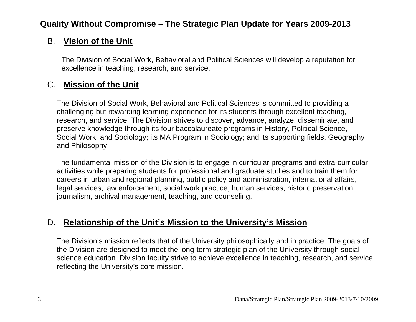#### B. **Vision of the Unit**

The Division of Social Work, Behavioral and Political Sciences will develop a reputation for excellence in teaching, research, and service.

#### C. **Mission of the Unit**

The Division of Social Work, Behavioral and Political Sciences is committed to providing a challenging but rewarding learning experience for its students through excellent teaching, research, and service. The Division strives to discover, advance, analyze, disseminate, and preserve knowledge through its four baccalaureate programs in History, Political Science, Social Work, and Sociology; its MA Program in Sociology; and its supporting fields, Geography and Philosophy.

The fundamental mission of the Division is to engage in curricular programs and extra-curricular activities while preparing students for professional and graduate studies and to train them for careers in urban and regional planning, public policy and administration, international affairs, legal services, law enforcement, social work practice, human services, historic preservation, journalism, archival management, teaching, and counseling.

#### D. **Relationship of the Unit's Mission to the University's Mission**

The Division's mission reflects that of the University philosophically and in practice. The goals of the Division are designed to meet the long-term strategic plan of the University through social science education. Division faculty strive to achieve excellence in teaching, research, and service, reflecting the University's core mission.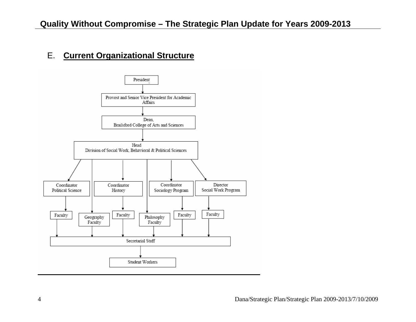## E. **Current Organizational Structure**

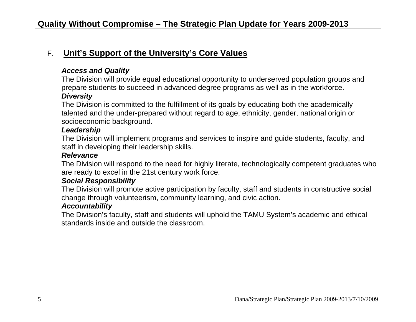#### F. **Unit's Support of the University's Core Values**

#### *Access and Quality*

The Division will provide equal educational opportunity to underserved population groups and prepare students to succeed in advanced degree programs as well as in the workforce. *Diversity*

The Division is committed to the fulfillment of its goals by educating both the academically talented and the under-prepared without regard to age, ethnicity, gender, national origin or socioeconomic background.

#### *Leadership*

The Division will implement programs and services to inspire and guide students, faculty, and staff in developing their leadership skills.

#### *Relevance*

The Division will respond to the need for highly literate, technologically competent graduates who are ready to excel in the 21st century work force.

#### *Social Responsibility*

The Division will promote active participation by faculty, staff and students in constructive social change through volunteerism, community learning, and civic action.

#### *Accountability*

The Division's faculty, staff and students will uphold the TAMU System's academic and ethical standards inside and outside the classroom.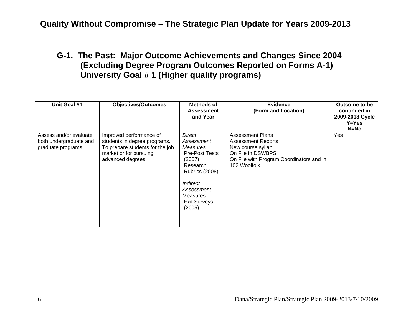**G-1. The Past: Major Outcome Achievements and Changes Since 2004 (Excluding Degree Program Outcomes Reported on Forms A-1) University Goal # 1 (Higher quality programs)** 

| Unit Goal #1                                                          | <b>Objectives/Outcomes</b>                                                                                                               | Methods of<br><b>Assessment</b><br>and Year                                                                                                                                                   | <b>Evidence</b><br>(Form and Location)                                                                                                                      | Outcome to be<br>continued in<br>2009-2013 Cycle<br>$Y = Yes$<br>$N=NO$ |
|-----------------------------------------------------------------------|------------------------------------------------------------------------------------------------------------------------------------------|-----------------------------------------------------------------------------------------------------------------------------------------------------------------------------------------------|-------------------------------------------------------------------------------------------------------------------------------------------------------------|-------------------------------------------------------------------------|
| Assess and/or evaluate<br>both undergraduate and<br>graduate programs | Improved performance of<br>students in degree programs.<br>To prepare students for the job<br>market or for pursuing<br>advanced degrees | <b>Direct</b><br>Assessment<br>Measures<br><b>Pre-Post Tests</b><br>(2007)<br>Research<br><b>Rubrics (2008)</b><br>Indirect<br>Assessment<br><b>Measures</b><br><b>Exit Surveys</b><br>(2005) | <b>Assessment Plans</b><br><b>Assessment Reports</b><br>New course syllabi<br>On File in DSWBPS<br>On File with Program Coordinators and in<br>102 Woolfolk | Yes                                                                     |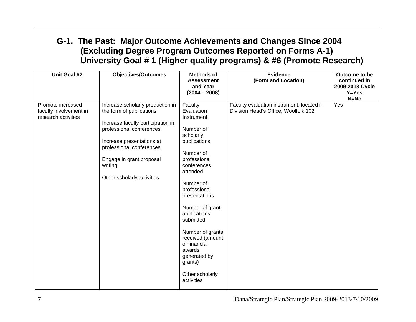#### **G-1. The Past: Major Outcome Achievements and Changes Since 2004 (Excluding Degree Program Outcomes Reported on Forms A-1) University Goal # 1 (Higher quality programs) & #6 (Promote Research)**

| Unit Goal #2                                                       | <b>Objectives/Outcomes</b>                                                                                                                                                                                                                                  | <b>Methods of</b><br><b>Assessment</b><br>and Year<br>$(2004 - 2008)$                                                                                                                                                                                                                                                                                             | <b>Evidence</b><br>(Form and Location)                                            | Outcome to be<br>continued in<br>2009-2013 Cycle<br>$Y = Yes$<br>$N = No$ |
|--------------------------------------------------------------------|-------------------------------------------------------------------------------------------------------------------------------------------------------------------------------------------------------------------------------------------------------------|-------------------------------------------------------------------------------------------------------------------------------------------------------------------------------------------------------------------------------------------------------------------------------------------------------------------------------------------------------------------|-----------------------------------------------------------------------------------|---------------------------------------------------------------------------|
| Promote increased<br>faculty involvement in<br>research activities | Increase scholarly production in<br>the form of publications<br>Increase faculty participation in<br>professional conferences<br>Increase presentations at<br>professional conferences<br>Engage in grant proposal<br>writing<br>Other scholarly activities | Faculty<br>Evaluation<br>Instrument<br>Number of<br>scholarly<br>publications<br>Number of<br>professional<br>conferences<br>attended<br>Number of<br>professional<br>presentations<br>Number of grant<br>applications<br>submitted<br>Number of grants<br>received (amount<br>of financial<br>awards<br>generated by<br>grants)<br>Other scholarly<br>activities | Faculty evaluation instrument, located in<br>Division Head's Office, Woolfolk 102 | Yes                                                                       |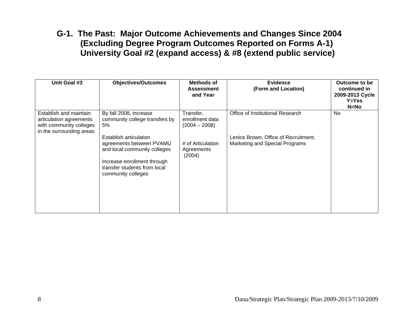#### **G-1. The Past: Major Outcome Achievements and Changes Since 2004 (Excluding Degree Program Outcomes Reported on Forms A-1) University Goal #2 (expand access) & #8 (extend public service)**

| Unit Goal #3                                                                                             | <b>Objectives/Outcomes</b>                                                                                                                                              | <b>Methods of</b><br><b>Assessment</b><br>and Year | <b>Evidence</b><br>(Form and Location)                                 | Outcome to be<br>continued in<br>2009-2013 Cycle<br>$Y = Yes$<br>$N=NO$ |
|----------------------------------------------------------------------------------------------------------|-------------------------------------------------------------------------------------------------------------------------------------------------------------------------|----------------------------------------------------|------------------------------------------------------------------------|-------------------------------------------------------------------------|
| Establish and maintain<br>articulation agreements<br>with community colleges<br>in the surrounding areas | By fall 2008, increase<br>community college transfers by<br>5%                                                                                                          | Transfer,<br>enrollment data<br>$(2004 - 2008)$    | Office of Institutional Research                                       | No                                                                      |
|                                                                                                          | Establish articulation<br>agreements between PVAMU<br>and local community colleges<br>Increase enrollment through<br>transfer students from local<br>community colleges | # of Articulation<br>Agreements<br>(2004)          | Lenice Brown, Office of Recruitment,<br>Marketing and Special Programs |                                                                         |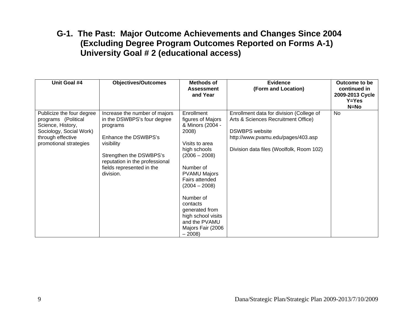#### **G-1. The Past: Major Outcome Achievements and Changes Since 2004 (Excluding Degree Program Outcomes Reported on Forms A-1) University Goal # 2 (educational access)**

| Unit Goal #4                                                                                                                                    | <b>Objectives/Outcomes</b>                                                                                                                                                                                            | Methods of<br><b>Assessment</b><br>and Year                                                                                                                                                                                                                                                                | <b>Evidence</b><br>(Form and Location)                                                                                                                                                     | Outcome to be<br>continued in<br>2009-2013 Cycle<br>$Y = Yes$<br>$N=NO$ |
|-------------------------------------------------------------------------------------------------------------------------------------------------|-----------------------------------------------------------------------------------------------------------------------------------------------------------------------------------------------------------------------|------------------------------------------------------------------------------------------------------------------------------------------------------------------------------------------------------------------------------------------------------------------------------------------------------------|--------------------------------------------------------------------------------------------------------------------------------------------------------------------------------------------|-------------------------------------------------------------------------|
| Publicize the four degree<br>programs (Political<br>Science, History,<br>Sociology, Social Work)<br>through effective<br>promotional strategies | Increase the number of majors<br>in the DSWBPS's four degree<br>programs<br>Enhance the DSWBPS's<br>visibility<br>Strengthen the DSWBPS's<br>reputation in the professional<br>fields represented in the<br>division. | Enrollment<br>figures of Majors<br>& Minors (2004 -<br>2008)<br>Visits to area<br>high schools<br>$(2006 - 2008)$<br>Number of<br><b>PVAMU Majors</b><br>Fairs attended<br>(2004 – 2008)<br>Number of<br>contacts<br>generated from<br>high school visits<br>and the PVAMU<br>Majors Fair (2006<br>$-2008$ | Enrollment data for division (College of<br>Arts & Sciences Recruitment Office)<br><b>DSWBPS</b> website<br>http://www.pvamu.edu/pages/403.asp<br>Division data files (Woolfolk, Room 102) | <b>No</b>                                                               |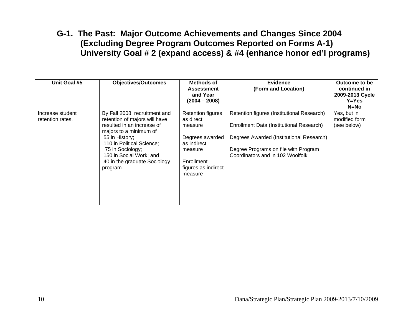#### **G-1. The Past: Major Outcome Achievements and Changes Since 2004 (Excluding Degree Program Outcomes Reported on Forms A-1) University Goal # 2 (expand access) & #4 (enhance honor ed'l programs)**

| Unit Goal #5                         | <b>Objectives/Outcomes</b>                                                                                                                                                                                                                                       | Methods of<br><b>Assessment</b><br>and Year<br>$(2004 - 2008)$                                                                                | <b>Evidence</b><br>(Form and Location)                                                                                                                                                                         | Outcome to be<br>continued in<br>2009-2013 Cycle<br>$Y = Yes$<br>$N=NO$ |
|--------------------------------------|------------------------------------------------------------------------------------------------------------------------------------------------------------------------------------------------------------------------------------------------------------------|-----------------------------------------------------------------------------------------------------------------------------------------------|----------------------------------------------------------------------------------------------------------------------------------------------------------------------------------------------------------------|-------------------------------------------------------------------------|
| Increase student<br>retention rates. | By Fall 2008, recruitment and<br>retention of majors will have<br>resulted in an increase of<br>majors to a minimum of<br>55 in History;<br>110 in Political Science;<br>75 in Sociology;<br>150 in Social Work; and<br>40 in the graduate Sociology<br>program. | <b>Retention figures</b><br>as direct<br>measure<br>Degrees awarded<br>as indirect<br>measure<br>Enrollment<br>figures as indirect<br>measure | Retention figures (Institutional Research)<br>Enrollment Data (Institutional Research)<br>Degrees Awarded (Institutional Research)<br>Degree Programs on file with Program<br>Coordinators and in 102 Woolfolk | Yes, but in<br>modified form<br>(see below)                             |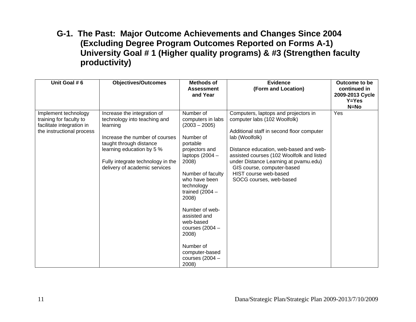#### **G-1. The Past: Major Outcome Achievements and Changes Since 2004 (Excluding Degree Program Outcomes Reported on Forms A-1) University Goal # 1 (Higher quality programs) & #3 (Strengthen faculty productivity)**

| Unit Goal #6                                                                                              | <b>Objectives/Outcomes</b>                                                                                                                                                                                                              | <b>Methods of</b><br><b>Assessment</b><br>and Year                                                                                                                                                                                                                                                                                                 | <b>Evidence</b><br>(Form and Location)                                                                                                                                                                                                                                                                                                                | Outcome to be<br>continued in<br>2009-2013 Cycle<br>$Y = Yes$<br>$N=NO$ |
|-----------------------------------------------------------------------------------------------------------|-----------------------------------------------------------------------------------------------------------------------------------------------------------------------------------------------------------------------------------------|----------------------------------------------------------------------------------------------------------------------------------------------------------------------------------------------------------------------------------------------------------------------------------------------------------------------------------------------------|-------------------------------------------------------------------------------------------------------------------------------------------------------------------------------------------------------------------------------------------------------------------------------------------------------------------------------------------------------|-------------------------------------------------------------------------|
| Implement technology<br>training for faculty to<br>facilitate integration in<br>the instructional process | Increase the integration of<br>technology into teaching and<br>learning<br>Increase the number of courses<br>taught through distance<br>learning education by 5 %<br>Fully integrate technology in the<br>delivery of academic services | Number of<br>computers in labs<br>$(2003 - 2005)$<br>Number of<br>portable<br>projectors and<br>laptops $(2004 -$<br>2008)<br>Number of faculty<br>who have been<br>technology<br>trained $(2004 -$<br>2008)<br>Number of web-<br>assisted and<br>web-based<br>courses (2004 -<br>2008)<br>Number of<br>computer-based<br>courses (2004 -<br>2008) | Computers, laptops and projectors in<br>computer labs (102 Woolfolk)<br>Additional staff in second floor computer<br>lab (Woolfolk)<br>Distance education, web-based and web-<br>assisted courses (102 Woolfolk and listed<br>under Distance Learning at pvamu.edu)<br>GIS course, computer-based<br>HIST course web-based<br>SOCG courses, web-based | Yes                                                                     |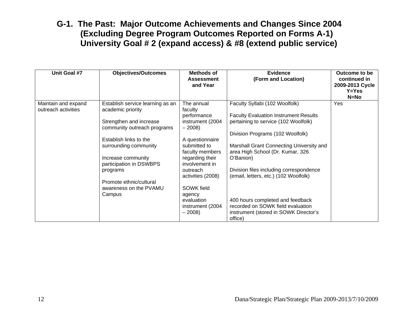#### **G-1. The Past: Major Outcome Achievements and Changes Since 2004 (Excluding Degree Program Outcomes Reported on Forms A-1) University Goal # 2 (expand access) & #8 (extend public service)**

| Unit Goal #7        | <b>Objectives/Outcomes</b>                    | <b>Methods of</b><br><b>Assessment</b><br>and Year | <b>Evidence</b><br>(Form and Location)        | Outcome to be<br>continued in<br>2009-2013 Cycle<br>$Y = Yes$<br>$N=NO$ |
|---------------------|-----------------------------------------------|----------------------------------------------------|-----------------------------------------------|-------------------------------------------------------------------------|
| Maintain and expand | Establish service learning as an              | The annual                                         | Faculty Syllabi (102 Woolfolk)                | Yes                                                                     |
| outreach activities | academic priority                             | faculty                                            |                                               |                                                                         |
|                     |                                               | performance                                        | <b>Faculty Evaluation Instrument Results</b>  |                                                                         |
|                     | Strengthen and increase                       | instrument (2004                                   | pertaining to service (102 Woolfolk)          |                                                                         |
|                     | community outreach programs                   | $-2008$                                            |                                               |                                                                         |
|                     |                                               |                                                    | Division Programs (102 Woolfolk)              |                                                                         |
|                     | Establish links to the                        | A questionnaire                                    |                                               |                                                                         |
|                     | surrounding community                         | submitted to                                       | Marshall Grant Connecting University and      |                                                                         |
|                     |                                               | faculty members<br>regarding their                 | area High School (Dr. Kumar, 326<br>O'Banion) |                                                                         |
|                     | Increase community<br>participation in DSWBPS | involvement in                                     |                                               |                                                                         |
|                     | programs                                      | outreach                                           | Division files including correspondence       |                                                                         |
|                     |                                               | activities (2008)                                  | (email, letters, etc.) (102 Woolfolk)         |                                                                         |
|                     | Promote ethnic/cultural                       |                                                    |                                               |                                                                         |
|                     | awareness on the PVAMU                        | SOWK field                                         |                                               |                                                                         |
|                     | Campus                                        | agency                                             |                                               |                                                                         |
|                     |                                               | evaluation                                         | 400 hours completed and feedback              |                                                                         |
|                     |                                               | instrument (2004                                   | recorded on SOWK field evaluation             |                                                                         |
|                     |                                               | $-2008$                                            | instrument (stored in SOWK Director's         |                                                                         |
|                     |                                               |                                                    | office)                                       |                                                                         |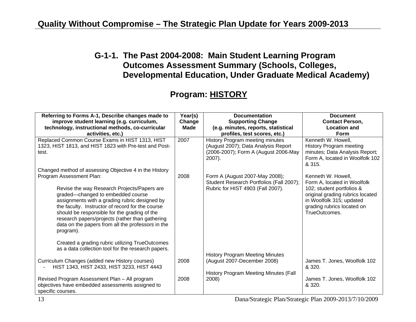#### **G-1-1. The Past 2004-2008: Main Student Learning Program Outcomes Assessment Summary (Schools, Colleges, Developmental Education, Under Graduate Medical Academy)**

#### **Program: HISTORY**

| Referring to Forms A-1, Describe changes made to                                                                                                                                                                                                                                                                                                           | Year(s)               | <b>Documentation</b>                                                                                                        | <b>Document</b><br><b>Contact Person,</b>                                                                                                |
|------------------------------------------------------------------------------------------------------------------------------------------------------------------------------------------------------------------------------------------------------------------------------------------------------------------------------------------------------------|-----------------------|-----------------------------------------------------------------------------------------------------------------------------|------------------------------------------------------------------------------------------------------------------------------------------|
| improve student learning (e.g. curriculum,<br>technology, instructional methods, co-curricular                                                                                                                                                                                                                                                             | Change<br><b>Made</b> | <b>Supporting Change</b><br>(e.g. minutes, reports, statistical                                                             | <b>Location and</b>                                                                                                                      |
| activities, etc.)                                                                                                                                                                                                                                                                                                                                          |                       | profiles, test scores, etc.)                                                                                                | <b>Form</b>                                                                                                                              |
| Replaced Common Course Exams in HIST 1313, HIST<br>1323, HIST 1813, and HIST 1823 with Pre-test and Post-<br>test.                                                                                                                                                                                                                                         | 2007                  | History Program meeting minutes<br>(August 2007); Data Analysis Report<br>(2006-2007); Form A (August 2006-May<br>$2007$ ). | Kenneth W. Howell,<br>History Program meeting<br>minutes; Data Analysis Report;<br>Form A, located in Woolfolk 102<br>& 315.             |
| Changed method of assessing Objective 4 in the History<br>Program Assessment Plan:                                                                                                                                                                                                                                                                         | 2008                  | Form A (August 2007-May 2008);<br>Student Research Portfolios (Fall 2007);                                                  | Kenneth W. Howell,<br>Form A, located in Woolfolk                                                                                        |
| Revise the way Research Projects/Papers are<br>graded-changed to embedded course<br>assignments with a grading rubric designed by<br>the faculty. Instructor of record for the course<br>should be responsible for the grading of the<br>research papers/projects (rather than gathering<br>data on the papers from all the professors in the<br>program). |                       | Rubric for HIST 4903 (Fall 2007).                                                                                           | 102; student portfolios &<br>original grading rubrics located<br>in Woolfolk 315; updated<br>grading rubrics located on<br>TrueOutcomes. |
| Created a grading rubric utilizing TrueOutcomes<br>as a data collection tool for the research papers.                                                                                                                                                                                                                                                      |                       |                                                                                                                             |                                                                                                                                          |
| Curriculum Changes (added new History courses)<br>HIST 1343, HIST 2433, HIST 3233, HIST 4443                                                                                                                                                                                                                                                               | 2008                  | <b>History Program Meeting Minutes</b><br>(August 2007-December 2008)                                                       | James T. Jones, Woolfolk 102<br>& 320.                                                                                                   |
| Revised Program Assessment Plan - All program<br>objectives have embedded assessments assigned to<br>specific courses.                                                                                                                                                                                                                                     | 2008                  | History Program Meeting Minutes (Fall<br>2008)                                                                              | James T. Jones, Woolfolk 102<br>& 320.                                                                                                   |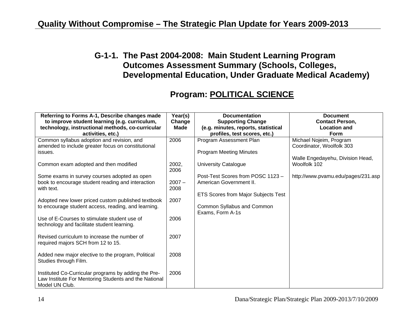#### **G-1-1. The Past 2004-2008: Main Student Learning Program Outcomes Assessment Summary (Schools, Colleges, Developmental Education, Under Graduate Medical Academy)**

#### **Program: POLITICAL SCIENCE**

| Referring to Forms A-1, Describe changes made                                                             | Year(s)  | <b>Documentation</b>                | <b>Document</b>                    |
|-----------------------------------------------------------------------------------------------------------|----------|-------------------------------------|------------------------------------|
| to improve student learning (e.g. curriculum,                                                             | Change   | <b>Supporting Change</b>            | <b>Contact Person,</b>             |
| technology, instructional methods, co-curricular                                                          | Made     | (e.g. minutes, reports, statistical | <b>Location and</b>                |
| activities, etc.)                                                                                         |          | profiles, test scores, etc.)        | <b>Form</b>                        |
| Common syllabus adoption and revision, and                                                                | 2006     | Program Assessment Plan             | Michael Nojeim, Program            |
| amended to include greater focus on constitutional                                                        |          |                                     | Coordinator, Woolfolk 303          |
| issues.                                                                                                   |          | <b>Program Meeting Minutes</b>      |                                    |
|                                                                                                           |          |                                     | Walle Engedayehu, Division Head,   |
| Common exam adopted and then modified                                                                     | 2002,    | University Catalogue                | Woolfolk 102                       |
|                                                                                                           | 2006     |                                     |                                    |
| Some exams in survey courses adopted as open                                                              |          | Post-Test Scores from POSC 1123 -   | http://www.pvamu.edu/pages/231.asp |
| book to encourage student reading and interaction                                                         | $2007 -$ | American Government II.             |                                    |
| with text.                                                                                                | 2008     |                                     |                                    |
|                                                                                                           | 2007     | ETS Scores from Major Subjects Test |                                    |
| Adopted new lower priced custom published textbook<br>to encourage student access, reading, and learning. |          | Common Syllabus and Common          |                                    |
|                                                                                                           |          | Exams, Form A-1s                    |                                    |
| Use of E-Courses to stimulate student use of                                                              | 2006     |                                     |                                    |
| technology and facilitate student learning.                                                               |          |                                     |                                    |
|                                                                                                           |          |                                     |                                    |
| Revised curriculum to increase the number of                                                              | 2007     |                                     |                                    |
| required majors SCH from 12 to 15.                                                                        |          |                                     |                                    |
|                                                                                                           |          |                                     |                                    |
| Added new major elective to the program, Political                                                        | 2008     |                                     |                                    |
| Studies through Film.                                                                                     |          |                                     |                                    |
|                                                                                                           |          |                                     |                                    |
| Instituted Co-Curricular programs by adding the Pre-                                                      | 2006     |                                     |                                    |
| Law Institute For Mentoring Students and the National                                                     |          |                                     |                                    |
| Model UN Club.                                                                                            |          |                                     |                                    |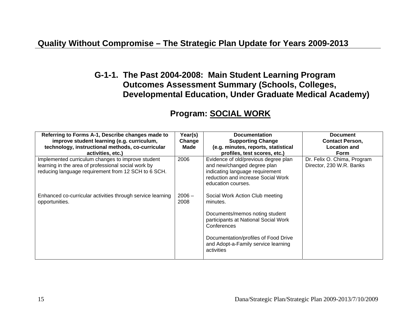#### **G-1-1. The Past 2004-2008: Main Student Learning Program Outcomes Assessment Summary (Schools, Colleges, Developmental Education, Under Graduate Medical Academy)**

| Referring to Forms A-1, Describe changes made to<br>improve student learning (e.g. curriculum,<br>technology, instructional methods, co-curricular<br>activities, etc.) | Year(s)<br>Change<br>Made | <b>Documentation</b><br><b>Supporting Change</b><br>(e.g. minutes, reports, statistical<br>profiles, test scores, etc.)                                                                                                           | <b>Document</b><br><b>Contact Person,</b><br><b>Location and</b><br><b>Form</b> |
|-------------------------------------------------------------------------------------------------------------------------------------------------------------------------|---------------------------|-----------------------------------------------------------------------------------------------------------------------------------------------------------------------------------------------------------------------------------|---------------------------------------------------------------------------------|
| Implemented curriculum changes to improve student<br>learning in the area of professional social work by<br>reducing language requirement from 12 SCH to 6 SCH.         | 2006                      | Evidence of old/previous degree plan<br>and new/changed degree plan<br>indicating language requirement<br>reduction and increase Social Work<br>education courses.                                                                | Dr. Felix O. Chima, Program<br>Director, 230 W.R. Banks                         |
| Enhanced co-curricular activities through service learning<br>opportunities.                                                                                            | $2006 -$<br>2008          | Social Work Action Club meeting<br>minutes.<br>Documents/memos noting student<br>participants at National Social Work<br>Conferences<br>Documentation/profiles of Food Drive<br>and Adopt-a-Family service learning<br>activities |                                                                                 |

#### **Program: SOCIAL WORK**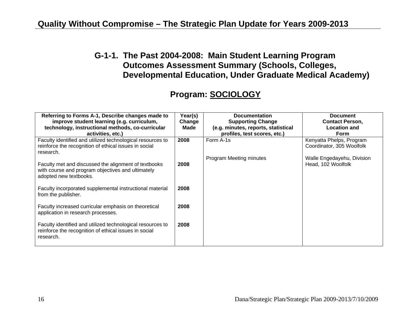#### **G-1-1. The Past 2004-2008: Main Student Learning Program Outcomes Assessment Summary (Schools, Colleges, Developmental Education, Under Graduate Medical Academy)**

#### **Program: SOCIOLOGY**

| Referring to Forms A-1, Describe changes made to<br>improve student learning (e.g. curriculum,                                      | Year(s)<br>Change | <b>Documentation</b><br><b>Supporting Change</b>                    | <b>Document</b><br><b>Contact Person,</b>             |
|-------------------------------------------------------------------------------------------------------------------------------------|-------------------|---------------------------------------------------------------------|-------------------------------------------------------|
| technology, instructional methods, co-curricular<br>activities, etc.)                                                               | Made              | (e.g. minutes, reports, statistical<br>profiles, test scores, etc.) | <b>Location and</b><br><b>Form</b>                    |
| Faculty identified and utilized technological resources to<br>reinforce the recognition of ethical issues in social<br>research.    | 2008              | Form A-1s                                                           | Kenyatta Phelps, Program<br>Coordinator, 305 Woolfolk |
| Faculty met and discussed the alignment of textbooks<br>with course and program objectives and ultimately<br>adopted new textbooks. | 2008              | Program Meeting minutes                                             | Walle Engedayehu, Division<br>Head, 102 Woolfolk      |
| Faculty incorporated supplemental instructional material<br>from the publisher.                                                     | 2008              |                                                                     |                                                       |
| Faculty increased curricular emphasis on theoretical<br>application in research processes.                                          | 2008              |                                                                     |                                                       |
| Faculty identified and utilized technological resources to<br>reinforce the recognition of ethical issues in social<br>research.    | 2008              |                                                                     |                                                       |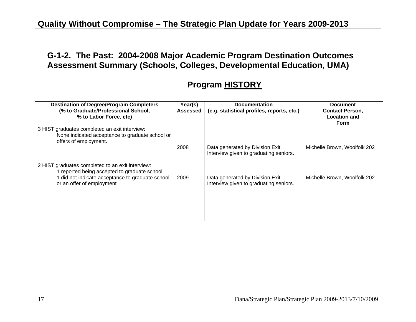#### **G-1-2. The Past: 2004-2008 Major Academic Program Destination Outcomes Assessment Summary (Schools, Colleges, Developmental Education, UMA)**

## **Program HISTORY**

| <b>Destination of Degree/Program Completers</b><br>(% to Graduate/Professional School,<br>% to Labor Force, etc)                                                                  | Year(s)<br><b>Assessed</b> | <b>Documentation</b><br>(e.g. statistical profiles, reports, etc.)        | <b>Document</b><br><b>Contact Person,</b><br><b>Location and</b><br><b>Form</b> |
|-----------------------------------------------------------------------------------------------------------------------------------------------------------------------------------|----------------------------|---------------------------------------------------------------------------|---------------------------------------------------------------------------------|
| 3 HIST graduates completed an exit interview:<br>None indicated acceptance to graduate school or<br>offers of employment.                                                         |                            |                                                                           |                                                                                 |
|                                                                                                                                                                                   | 2008                       | Data generated by Division Exit<br>Interview given to graduating seniors. | Michelle Brown, Woolfolk 202                                                    |
| 2 HIST graduates completed to an exit interview:<br>1 reported being accepted to graduate school<br>1 did not indicate acceptance to graduate school<br>or an offer of employment | 2009                       | Data generated by Division Exit<br>Interview given to graduating seniors. | Michelle Brown, Woolfolk 202                                                    |
|                                                                                                                                                                                   |                            |                                                                           |                                                                                 |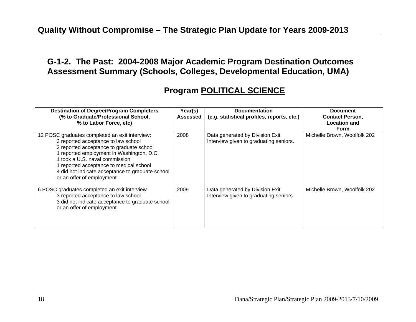#### **G-1-2. The Past: 2004-2008 Major Academic Program Destination Outcomes Assessment Summary (Schools, Colleges, Developmental Education, UMA)**

#### **Program POLITICAL SCIENCE**

| <b>Destination of Degree/Program Completers</b><br>(% to Graduate/Professional School,<br>% to Labor Force, etc)                                                                                                                                                                                                                             | Year(s)<br>Assessed | <b>Documentation</b><br>(e.g. statistical profiles, reports, etc.)        | <b>Document</b><br><b>Contact Person,</b><br><b>Location and</b><br><b>Form</b> |
|----------------------------------------------------------------------------------------------------------------------------------------------------------------------------------------------------------------------------------------------------------------------------------------------------------------------------------------------|---------------------|---------------------------------------------------------------------------|---------------------------------------------------------------------------------|
| 12 POSC graduates completed an exit interview:<br>3 reported acceptance to law school<br>2 reported acceptance to graduate school<br>1 reported employment in Washington, D.C.<br>1 took a U.S. naval commission<br>1 reported acceptance to medical school<br>4 did not indicate acceptance to graduate school<br>or an offer of employment | 2008                | Data generated by Division Exit<br>Interview given to graduating seniors. | Michelle Brown, Woolfolk 202                                                    |
| 6 POSC graduates completed an exit interview<br>3 reported acceptance to law school<br>3 did not indicate acceptance to graduate school<br>or an offer of employment                                                                                                                                                                         | 2009                | Data generated by Division Exit<br>Interview given to graduating seniors. | Michelle Brown, Woolfolk 202                                                    |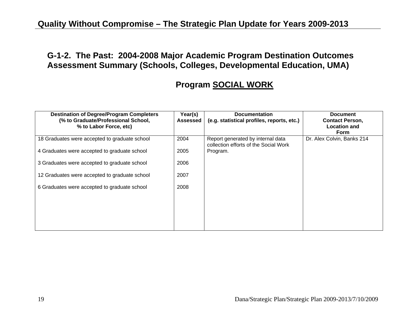#### **G-1-2. The Past: 2004-2008 Major Academic Program Destination Outcomes Assessment Summary (Schools, Colleges, Developmental Education, UMA)**

#### **Program SOCIAL WORK**

| <b>Destination of Degree/Program Completers</b><br>(% to Graduate/Professional School,<br>% to Labor Force, etc) | Year(s)<br><b>Assessed</b> | <b>Documentation</b><br>(e.g. statistical profiles, reports, etc.)         | <b>Document</b><br><b>Contact Person,</b><br><b>Location and</b><br><b>Form</b> |
|------------------------------------------------------------------------------------------------------------------|----------------------------|----------------------------------------------------------------------------|---------------------------------------------------------------------------------|
| 18 Graduates were accepted to graduate school                                                                    | 2004                       | Report generated by internal data<br>collection efforts of the Social Work | Dr. Alex Colvin, Banks 214                                                      |
| 4 Graduates were accepted to graduate school                                                                     | 2005                       | Program.                                                                   |                                                                                 |
| 3 Graduates were accepted to graduate school                                                                     | 2006                       |                                                                            |                                                                                 |
| 12 Graduates were accepted to graduate school                                                                    | 2007                       |                                                                            |                                                                                 |
| 6 Graduates were accepted to graduate school                                                                     | 2008                       |                                                                            |                                                                                 |
|                                                                                                                  |                            |                                                                            |                                                                                 |
|                                                                                                                  |                            |                                                                            |                                                                                 |
|                                                                                                                  |                            |                                                                            |                                                                                 |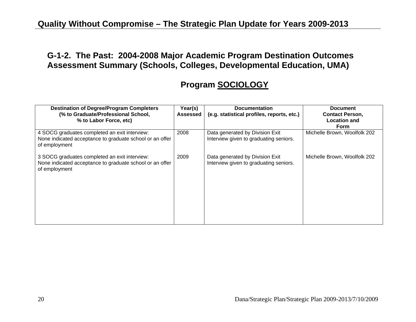#### **G-1-2. The Past: 2004-2008 Major Academic Program Destination Outcomes Assessment Summary (Schools, Colleges, Developmental Education, UMA)**

#### **Program SOCIOLOGY**

| <b>Destination of Degree/Program Completers</b><br>(% to Graduate/Professional School,<br>% to Labor Force, etc)           | Year(s)<br>Assessed | <b>Documentation</b><br>(e.g. statistical profiles, reports, etc.)        | <b>Document</b><br><b>Contact Person,</b><br><b>Location and</b><br><b>Form</b> |
|----------------------------------------------------------------------------------------------------------------------------|---------------------|---------------------------------------------------------------------------|---------------------------------------------------------------------------------|
| 4 SOCG graduates completed an exit interview:<br>None indicated acceptance to graduate school or an offer<br>of employment | 2008                | Data generated by Division Exit<br>Interview given to graduating seniors. | Michelle Brown, Woolfolk 202                                                    |
| 3 SOCG graduates completed an exit interview:<br>None indicated acceptance to graduate school or an offer<br>of employment | 2009                | Data generated by Division Exit<br>Interview given to graduating seniors. | Michelle Brown, Woolfolk 202                                                    |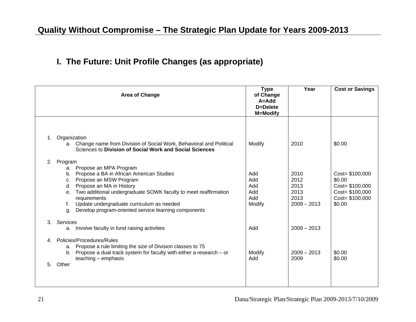## **I. The Future: Unit Profile Changes (as appropriate)**

|    | Area of Change |                                                                                                                                  | <b>Type</b><br>of Change<br>$A = Add$<br>D=Delete<br><b>M=Modify</b> | Year          | <b>Cost or Savings</b> |
|----|----------------|----------------------------------------------------------------------------------------------------------------------------------|----------------------------------------------------------------------|---------------|------------------------|
|    |                |                                                                                                                                  |                                                                      |               |                        |
| 1. | Organization   |                                                                                                                                  |                                                                      |               |                        |
|    |                | a. Change name from Division of Social Work, Behavioral and Political<br>Sciences to Division of Social Work and Social Sciences | Modify                                                               | 2010          | \$0.00                 |
| 2. | Program        |                                                                                                                                  |                                                                      |               |                        |
|    | a.             | Propose an MPA Program                                                                                                           |                                                                      |               |                        |
|    | $b_{-}$        | Propose a BA in African American Studies                                                                                         | Add                                                                  | 2010          | Cost= \$100,000        |
|    | C.             | Propose an MSW Program                                                                                                           | Add                                                                  | 2012          | \$0.00                 |
|    | d.             | Propose an MA in History                                                                                                         | Add                                                                  | 2013          | Cost= \$100,000        |
|    | е.             | Two additional undergraduate SOWK faculty to meet reaffirmation                                                                  | Add                                                                  | 2013          | Cost= \$100,000        |
|    |                | requirements                                                                                                                     | Add                                                                  | 2013          | Cost= \$100,000        |
|    |                | Update undergraduate curriculum as needed                                                                                        | Modify                                                               | $2009 - 2013$ | \$0.00                 |
|    | q.             | Develop program-oriented service learning components                                                                             |                                                                      |               |                        |
| 3  | Services       |                                                                                                                                  |                                                                      |               |                        |
|    | а.             | Involve faculty in fund raising activities                                                                                       | Add                                                                  | $2009 - 2013$ |                        |
| 4  |                | Policies/Procedures/Rules                                                                                                        |                                                                      |               |                        |
|    | a.             | Propose a rule limiting the size of Division classes to 75                                                                       |                                                                      |               |                        |
|    | $b_{\cdot}$    | Propose a dual track system for faculty with either a research $-$ or                                                            | Modify                                                               | $2009 - 2013$ | \$0.00                 |
|    |                | $teaching$ – emphasis                                                                                                            | Add                                                                  | 2009          | \$0.00                 |
| 5. | Other          |                                                                                                                                  |                                                                      |               |                        |
|    |                |                                                                                                                                  |                                                                      |               |                        |
|    |                |                                                                                                                                  |                                                                      |               |                        |
|    |                |                                                                                                                                  |                                                                      |               |                        |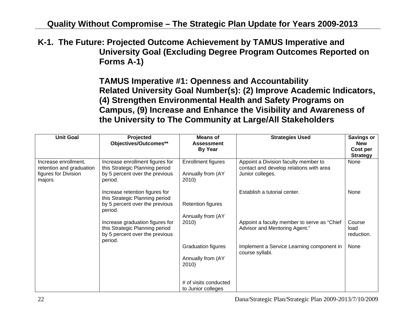**K-1. The Future: Projected Outcome Achievement by TAMUS Imperative and University Goal (Excluding Degree Program Outcomes Reported on Forms A-1)** 

> **TAMUS Imperative #1: Openness and Accountability Related University Goal Number(s): (2) Improve Academic Indicators, (4) Strengthen Environmental Health and Safety Programs on Campus, (9) Increase and Enhance the Visibility and Awareness of the University to The Community at Large/All Stakeholders**

| <b>Unit Goal</b>                                                                   | Projected<br>Objectives/Outcomes**                                                                             | <b>Means of</b><br><b>Assessment</b><br><b>By Year</b>  | <b>Strategies Used</b>                                                                              | <b>Savings or</b><br><b>New</b><br>Cost per<br><b>Strategy</b> |
|------------------------------------------------------------------------------------|----------------------------------------------------------------------------------------------------------------|---------------------------------------------------------|-----------------------------------------------------------------------------------------------------|----------------------------------------------------------------|
| Increase enrollment,<br>retention and graduation<br>figures for Division<br>majors | Increase enrollment figures for<br>this Strategic Planning period<br>by 5 percent over the previous<br>period. | Enrollment figures<br>Annually from (AY<br>2010)        | Appoint a Division faculty member to<br>contact and develop relations with area<br>Junior colleges. | None                                                           |
|                                                                                    | Increase retention figures for<br>this Strategic Planning period<br>by 5 percent over the previous<br>period.  | <b>Retention figures</b><br>Annually from (AY           | Establish a tutorial center.                                                                        | None                                                           |
|                                                                                    | Increase graduation figures for<br>this Strategic Planning period<br>by 5 percent over the previous<br>period. | 2010)                                                   | Appoint a faculty member to serve as "Chief<br>Advisor and Mentoring Agent."                        | Course<br>load<br>reduction.                                   |
|                                                                                    |                                                                                                                | <b>Graduation figures</b><br>Annually from (AY<br>2010) | Implement a Service Learning component in<br>course syllabi.                                        | None                                                           |
|                                                                                    |                                                                                                                | # of visits conducted<br>to Junior colleges             |                                                                                                     |                                                                |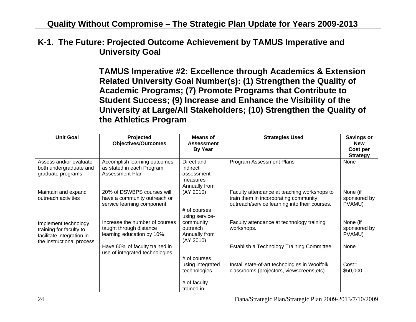#### **K-1. The Future: Projected Outcome Achievement by TAMUS Imperative and University Goal**

**TAMUS Imperative #2: Excellence through Academics & Extension Related University Goal Number(s): (1) Strengthen the Quality of Academic Programs; (7) Promote Programs that Contribute to Student Success; (9) Increase and Enhance the Visibility of the University at Large/All Stakeholders; (10) Strengthen the Quality of the Athletics Program** 

| <b>Unit Goal</b>                                                                                          | Projected<br><b>Objectives/Outcomes</b>                                                   | <b>Means of</b><br><b>Assessment</b><br><b>By Year</b>            | <b>Strategies Used</b>                                                                                                                | <b>Savings or</b><br><b>New</b><br>Cost per<br><b>Strategy</b> |
|-----------------------------------------------------------------------------------------------------------|-------------------------------------------------------------------------------------------|-------------------------------------------------------------------|---------------------------------------------------------------------------------------------------------------------------------------|----------------------------------------------------------------|
| Assess and/or evaluate<br>both undergraduate and<br>graduate programs                                     | Accomplish learning outcomes<br>as stated in each Program<br>Assessment Plan              | Direct and<br>indirect<br>assessment<br>measures<br>Annually from | <b>Program Assessment Plans</b>                                                                                                       | None                                                           |
| Maintain and expand<br>outreach activities                                                                | 20% of DSWBPS courses will<br>have a community outreach or<br>service learning component. | (AY 2010)<br># of courses<br>using service-                       | Faculty attendance at teaching workshops to<br>train them in incorporating community<br>outreach/service learning into their courses. | None (if<br>sponsored by<br>PVAMU)                             |
| Implement technology<br>training for faculty to<br>facilitate integration in<br>the instructional process | Increase the number of courses<br>taught through distance<br>learning education by 10%    | community<br>outreach<br>Annually from<br>(AY 2010)               | Faculty attendance at technology training<br>workshops.                                                                               | None (if<br>sponsored by<br>PVAMU)                             |
|                                                                                                           | Have 60% of faculty trained in<br>use of integrated technologies.                         | # of courses                                                      | Establish a Technology Training Committee                                                                                             | None                                                           |
|                                                                                                           |                                                                                           | using integrated<br>technologies                                  | Install state-of-art technologies in Woolfolk<br>classrooms (projectors, viewscreens, etc).                                           | $Cost =$<br>\$50,000                                           |
|                                                                                                           |                                                                                           | # of faculty<br>trained in                                        |                                                                                                                                       |                                                                |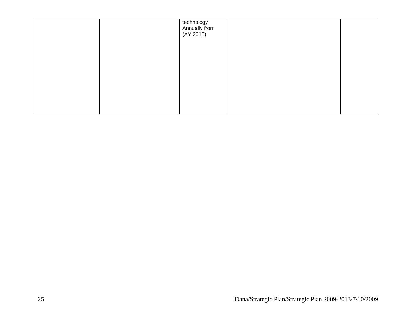|  | technology<br>Annually from<br>(AY 2010) |  |
|--|------------------------------------------|--|
|  |                                          |  |
|  |                                          |  |
|  |                                          |  |
|  |                                          |  |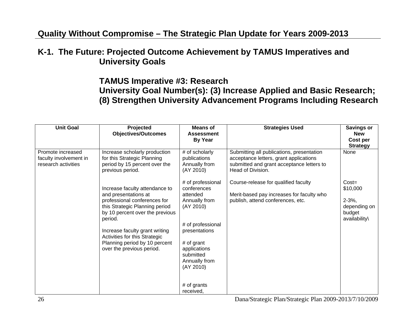#### **K-1. The Future: Projected Outcome Achievement by TAMUS Imperatives and University Goals**

#### **TAMUS Imperative #3: Research University Goal Number(s): (3) Increase Applied and Basic Research; (8) Strengthen University Advancement Programs Including Research**

| <b>Unit Goal</b>                                                   | Projected<br><b>Objectives/Outcomes</b>                                                                                                                                                                                                                                                                 | Means of<br><b>Assessment</b><br><b>By Year</b>                                                                                                                                                                       | <b>Strategies Used</b>                                                                                                                                | <b>Savings or</b><br><b>New</b><br>Cost per<br><b>Strategy</b>                |
|--------------------------------------------------------------------|---------------------------------------------------------------------------------------------------------------------------------------------------------------------------------------------------------------------------------------------------------------------------------------------------------|-----------------------------------------------------------------------------------------------------------------------------------------------------------------------------------------------------------------------|-------------------------------------------------------------------------------------------------------------------------------------------------------|-------------------------------------------------------------------------------|
| Promote increased<br>faculty involvement in<br>research activities | Increase scholarly production<br>for this Strategic Planning<br>period by 15 percent over the<br>previous period.                                                                                                                                                                                       | # of scholarly<br>publications<br>Annually from<br>(AY 2010)                                                                                                                                                          | Submitting all publications, presentation<br>acceptance letters, grant applications<br>submitted and grant acceptance letters to<br>Head of Division. | None                                                                          |
|                                                                    | Increase faculty attendance to<br>and presentations at<br>professional conferences for<br>this Strategic Planning period<br>by 10 percent over the previous<br>period.<br>Increase faculty grant writing<br>Activities for this Strategic<br>Planning period by 10 percent<br>over the previous period. | # of professional<br>conferences<br>attended<br>Annually from<br>(AY 2010)<br># of professional<br>presentations<br># of grant<br>applications<br>submitted<br>Annually from<br>(AY 2010)<br># of grants<br>received, | Course-release for qualified faculty<br>Merit-based pay increases for faculty who<br>publish, attend conferences, etc.                                | $Cost =$<br>\$10,000<br>$2 - 3\%,$<br>depending on<br>budget<br>availability\ |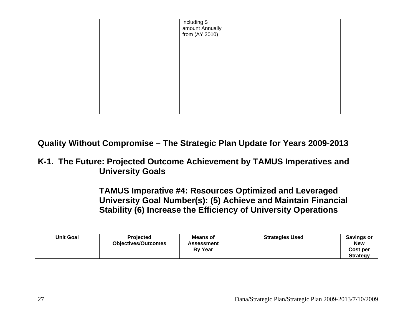|  | including \$<br>amount Annually<br>from (AY 2010) |  |
|--|---------------------------------------------------|--|
|  |                                                   |  |
|  |                                                   |  |
|  |                                                   |  |
|  |                                                   |  |

#### **K-1. The Future: Projected Outcome Achievement by TAMUS Imperatives and University Goals**

**TAMUS Imperative #4: Resources Optimized and Leveraged University Goal Number(s): (5) Achieve and Maintain Financial Stability (6) Increase the Efficiency of University Operations** 

| <b>Unit Goal</b> | <b>Projected</b><br><b>Objectives/Outcomes</b> | Means of<br><b>Assessment</b><br><b>By Year</b> | <b>Strategies Used</b> | Savings or<br><b>New</b><br>Cost per<br><b>Strategy</b> |
|------------------|------------------------------------------------|-------------------------------------------------|------------------------|---------------------------------------------------------|
|                  |                                                |                                                 |                        |                                                         |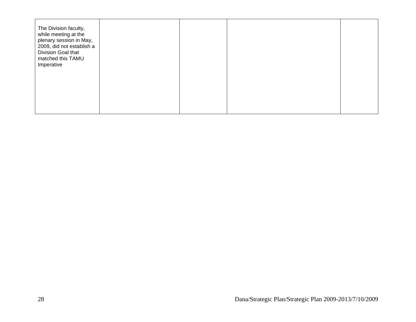| The Division faculty,<br>while meeting at the<br>plenary session in May,<br>2009, did not establish a<br>Division Goal that<br>matched this TAMU<br>Imperative |  |  |
|----------------------------------------------------------------------------------------------------------------------------------------------------------------|--|--|
|                                                                                                                                                                |  |  |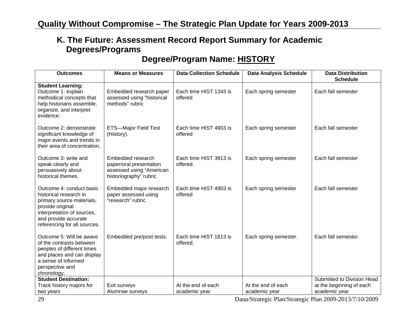#### **Degree/Program Name: HISTORY**

| <b>Outcomes</b>                                                                                                                                                                           | <b>Means or Measures</b>                                                                           | <b>Data Collection Schedule</b>     | <b>Data Analysis Schedule</b>       | <b>Data Distribution</b><br><b>Schedule</b>                             |
|-------------------------------------------------------------------------------------------------------------------------------------------------------------------------------------------|----------------------------------------------------------------------------------------------------|-------------------------------------|-------------------------------------|-------------------------------------------------------------------------|
| <b>Student Learning:</b><br>Outcome 1: explain<br>methodical concepts that<br>help historians assemble,<br>organize, and interpret<br>evidence.                                           | Embedded research paper<br>assessed using "historical<br>methods" rubric                           | Each time HIST 1343 is<br>offered   | Each spring semester                | Each fall semester                                                      |
| Outcome 2: demonstrate<br>significant knowledge of<br>major events and trends in<br>their area of concentration.                                                                          | <b>ETS-Major Field Test</b><br>(History).                                                          | Each time HIST 4903 is<br>offered   | Each spring semester                | Each fall semester                                                      |
| Outcome 3: write and<br>speak clearly and<br>persuasively about<br>historical themes.                                                                                                     | Embedded research<br>paper/oral presentation<br>assessed using "American<br>historiography" rubric | Each time HIST 3913 is<br>offered.  | Each spring semester                | Each fall semester                                                      |
| Outcome 4: conduct basic<br>historical research in<br>primary source materials,<br>provide original<br>interpretation of sources,<br>and provide accurate<br>referencing for all sources. | Embedded major research<br>paper assessed using<br>"research" rubric                               | Each time HIST 4903 is<br>offered   | Each spring semester                | Each fall semester                                                      |
| Outcome 5: Will be aware<br>of the contrasts between<br>peoples of different times<br>and places and can display<br>a sense of informed<br>perspective and<br>chronology.                 | Embedded pre/post-tests.                                                                           | Each time HIST 1813 is<br>offered.  | Each spring semester.               | Each fall semester.                                                     |
| <b>Student Destination:</b><br>Track history majors for<br>two years                                                                                                                      | Exit surveys<br>Alumnae surveys                                                                    | At the end of each<br>academic year | At the end of each<br>academic year | Submitted to Division Head<br>at the beginning of each<br>academic year |

29 Dana/Strategic Plan/Strategic Plan 2009-2013/7/10/2009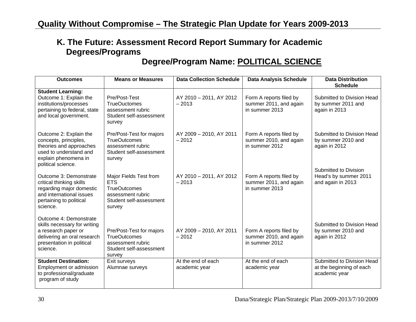#### **Degree/Program Name: POLITICAL SCIENCE**

| <b>Outcomes</b>                                                                                                                                       | <b>Means or Measures</b>                                                                                              | <b>Data Collection Schedule</b>     | <b>Data Analysis Schedule</b>                                       | <b>Data Distribution</b><br><b>Schedule</b>                             |
|-------------------------------------------------------------------------------------------------------------------------------------------------------|-----------------------------------------------------------------------------------------------------------------------|-------------------------------------|---------------------------------------------------------------------|-------------------------------------------------------------------------|
| <b>Student Learning:</b><br>Outcome 1: Explain the<br>institutions/processes<br>pertaining to federal, state<br>and local government.                 | Pre/Post-Test<br><b>TrueOuctomes</b><br>assessment rubric<br>Student self-assessment<br>survey                        | AY 2010 - 2011, AY 2012<br>$-2013$  | Form A reports filed by<br>summer 2011, and again<br>in summer 2013 | Submitted to Division Head<br>by summer 2011 and<br>again in 2013       |
| Outcome 2: Explain the<br>concepts, principles,<br>theories and approaches<br>used to understand and<br>explain phenomena in<br>political science.    | Pre/Post-Test for majors<br><b>TrueOutcomes</b><br>assessment rubric<br>Student self-assessment<br>survey             | AY 2009 - 2010, AY 2011<br>$-2012$  | Form A reports filed by<br>summer 2010, and again<br>in summer 2012 | Submitted to Division Head<br>by summer 2010 and<br>again in 2012       |
| Outcome 3: Demonstrate<br>critical thinking skills<br>regarding major domestic<br>and international issues<br>pertaining to political<br>science.     | Major Fields Test from<br><b>ETS</b><br><b>TrueOutcomes</b><br>assessment rubric<br>Student self-assessment<br>survey | AY 2010 - 2011, AY 2012<br>$-2013$  | Form A reports filed by<br>summer 2011, and again<br>in summer 2013 | Submitted to Division<br>Head's by summer 2011<br>and again in 2013     |
| Outcome 4: Demonstrate<br>skills necessary for writing<br>a research paper or<br>delivering an oral research<br>presentation in political<br>science. | Pre/Post-Test for majors<br><b>TrueOutcomes</b><br>assessment rubric<br>Student self-assessment<br>survey             | AY 2009 - 2010, AY 2011<br>$-2012$  | Form A reports filed by<br>summer 2010, and again<br>in summer 2012 | Submitted to Division Head<br>by summer 2010 and<br>again in 2012       |
| <b>Student Destination:</b><br>Employment or admission<br>to professional/graduate<br>program of study                                                | Exit surveys<br>Alumnae surveys                                                                                       | At the end of each<br>academic year | At the end of each<br>academic year                                 | Submitted to Division Head<br>at the beginning of each<br>academic year |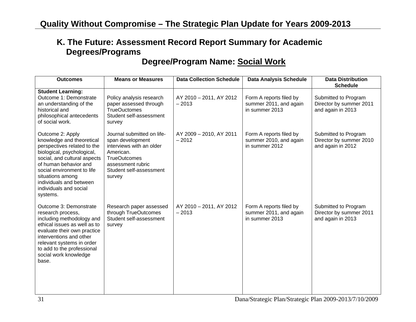## **Degree/Program Name: Social Work**

| <b>Outcomes</b>                                                                                                                                                                                                                                                                        | <b>Means or Measures</b>                                                                                                                                                 | <b>Data Collection Schedule</b>    | <b>Data Analysis Schedule</b>                                       | <b>Data Distribution</b><br><b>Schedule</b>                          |
|----------------------------------------------------------------------------------------------------------------------------------------------------------------------------------------------------------------------------------------------------------------------------------------|--------------------------------------------------------------------------------------------------------------------------------------------------------------------------|------------------------------------|---------------------------------------------------------------------|----------------------------------------------------------------------|
| <b>Student Learning:</b><br>Outcome 1: Demonstrate<br>an understanding of the<br>historical and<br>philosophical antecedents<br>of social work.                                                                                                                                        | Policy analysis research<br>paper assessed through<br><b>TrueOuctomes</b><br>Student self-assessment<br>survey                                                           | AY 2010 - 2011, AY 2012<br>$-2013$ | Form A reports filed by<br>summer 2011, and again<br>in summer 2013 | Submitted to Program<br>Director by summer 2011<br>and again in 2013 |
| Outcome 2: Apply<br>knowledge and theoretical<br>perspectives related to the<br>biological, psychological,<br>social, and cultural aspects<br>of human behavior and<br>social environment to life<br>situations among<br>individuals and between<br>individuals and social<br>systems. | Journal submitted on life-<br>span development<br>interviews with an older<br>American.<br><b>TrueOutcomes</b><br>assessment rubric<br>Student self-assessment<br>survey | AY 2009 - 2010, AY 2011<br>$-2012$ | Form A reports filed by<br>summer 2010, and again<br>in summer 2012 | Submitted to Program<br>Director by summer 2010<br>and again in 2012 |
| Outcome 3: Demonstrate<br>research process,<br>including methodology and<br>ethical issues as well as to<br>evaluate their own practice<br>interventions and other<br>relevant systems in order<br>to add to the professional<br>social work knowledge<br>base.                        | Research paper assessed<br>through TrueOutcomes<br>Student self-assessment<br>survey                                                                                     | AY 2010 - 2011, AY 2012<br>$-2013$ | Form A reports filed by<br>summer 2011, and again<br>in summer 2013 | Submitted to Program<br>Director by summer 2011<br>and again in 2013 |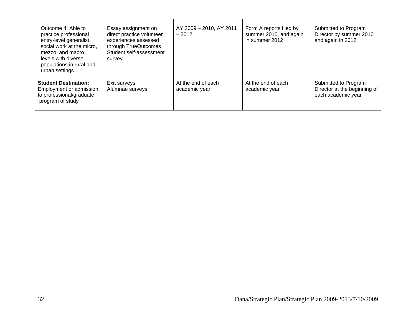| Outcome 4: Able to<br>practice professional<br>entry-level generalist<br>social work at the micro,<br>mezzo, and macro<br>levels with diverse<br>populations in rural and<br>urban settings. | Essay assignment on<br>direct practice volunteer<br>experiences assessed<br>through TrueOutcomes<br>Student self-assessment<br>survey | AY 2009 - 2010, AY 2011<br>$-2012$  | Form A reports filed by<br>summer 2010, and again<br>in summer 2012 | Submitted to Program<br>Director by summer 2010<br>and again in 2012       |
|----------------------------------------------------------------------------------------------------------------------------------------------------------------------------------------------|---------------------------------------------------------------------------------------------------------------------------------------|-------------------------------------|---------------------------------------------------------------------|----------------------------------------------------------------------------|
| <b>Student Destination:</b><br>Employment or admission<br>to professional/graduate<br>program of study                                                                                       | Exit surveys<br>Alumnae surveys                                                                                                       | At the end of each<br>academic year | At the end of each<br>academic year                                 | Submitted to Program<br>Director at the beginning of<br>each academic year |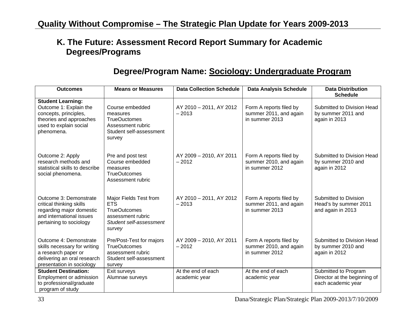#### **Degree/Program Name: Sociology: Undergraduate Program**

| <b>Outcomes</b>                                                                                                                                | <b>Means or Measures</b>                                                                                              | <b>Data Collection Schedule</b>     | <b>Data Analysis Schedule</b>                                       | <b>Data Distribution</b><br><b>Schedule</b>                                |
|------------------------------------------------------------------------------------------------------------------------------------------------|-----------------------------------------------------------------------------------------------------------------------|-------------------------------------|---------------------------------------------------------------------|----------------------------------------------------------------------------|
| <b>Student Learning:</b><br>Outcome 1: Explain the<br>concepts, principles,<br>theories and approaches<br>used to explain social<br>phenomena. | Course embedded<br>measures<br><b>TrueOuctomes</b><br>Assessment rubric<br>Student self-assessment<br>survey          | AY 2010 - 2011, AY 2012<br>$-2013$  | Form A reports filed by<br>summer 2011, and again<br>in summer 2013 | Submitted to Division Head<br>by summer 2011 and<br>again in 2013          |
| Outcome 2: Apply<br>research methods and<br>statistical skills to describe<br>social phenomena.                                                | Pre and post test<br>Course embedded<br>measures<br><b>TrueOutcomes</b><br>Assessment rubric                          | AY 2009 - 2010, AY 2011<br>$-2012$  | Form A reports filed by<br>summer 2010, and again<br>in summer 2012 | Submitted to Division Head<br>by summer 2010 and<br>again in 2012          |
| Outcome 3: Demonstrate<br>critical thinking skills<br>regarding major domestic<br>and international issues<br>pertaining to sociology          | Major Fields Test from<br><b>ETS</b><br><b>TrueOutcomes</b><br>assessment rubric<br>Student self-assessment<br>survey | AY 2010 - 2011, AY 2012<br>$-2013$  | Form A reports filed by<br>summer 2011, and again<br>in summer 2013 | Submitted to Division<br>Head's by summer 2011<br>and again in 2013        |
| Outcome 4: Demonstrate<br>skills necessary for writing<br>a research paper or<br>delivering an oral research<br>presentation in sociology      | Pre/Post-Test for majors<br><b>TrueOutcomes</b><br>assessment rubric<br>Student self-assessment<br>survey             | AY 2009 - 2010, AY 2011<br>$-2012$  | Form A reports filed by<br>summer 2010, and again<br>in summer 2012 | Submitted to Division Head<br>by summer 2010 and<br>again in 2012          |
| <b>Student Destination:</b><br>Employment or admission<br>to professional/graduate<br>program of study                                         | Exit surveys<br>Alumnae surveys                                                                                       | At the end of each<br>academic year | At the end of each<br>academic year                                 | Submitted to Program<br>Director at the beginning of<br>each academic year |